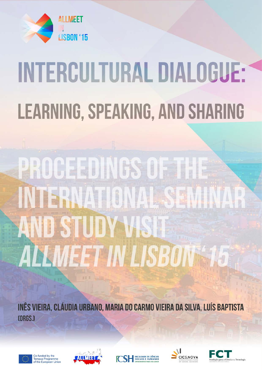

# **INTERCULTURAL DIALOGUE: LEARNING, SPEAKING, AND SHARING**

# PROCEEDINGS OF THE INTERNATIONAL SEI **AND STUDY WSIT** ALLMEET IN LISBON \$15

INÊS VIEIRA, CLÁUDIA URBANO, MARIA DO CARMO VIEIRA DA SILVA, LUÍS BAPTISTA [ORGS.]











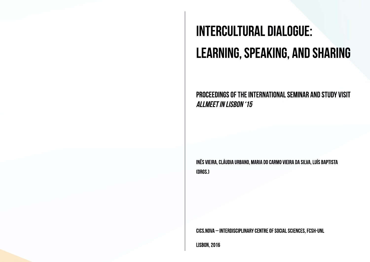## **INTERCULTURAL DIALOGUE: LEARNING, SPEAKING, AND SHARING**

PROCEEDINGS OF THE INTERNATIONAL SEMINAR AND STUDY VISIT **ALLMEET IN LISBON '15** 

INÊS VIEIRA, CLÁUDIA URBANO, MARIA DO CARMO VIEIRA DA SILVA, LUÍS BAPTISTA **CORGS.1** 

CICS.NOVA - INTERDISCIPLINARY CENTRE OF SOCIAL SCIENCES, FCSH-UNL

**LISBON, 2016**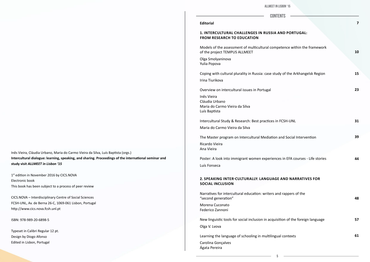## **CONTE**

### **Editorial**

### **1. INTERCULTURAL CHALLENGES IN RUSSIA A from research to education**

Models of the assessment of multicultural competence with the assessment of multicultural compe of the project TEMPUS ALLMEET

Olga Smolyaninova Yulia Popova

Coping with cultural plurality in Russia: case study

Intercultural Study & Research: Best practices in Maria do Carmo Vieira da Silva

The Master program on Intercultural Mediation a

Irina Tiurikova

Poster: A look into immigrant women experience Luís Fonseca

Overview on intercultural issues in Portugal

## **2. SPEAKING INTER-CULTURALLY: LANGUAGE social inclusion**

Inês Vieira Cláudia Urbano Maria do Carmo Vieira da Silva Luís Baptista

Narratives for intercultural education: writers and "second generation"

New linguistic tools for social inclusion in acquisit Olga V. Lvova

Ricardo Vieira Ana Vieira

1<sup>st</sup> edition in November 2016 by CICS.NOVA Electronic book This book has been subject to a process of peer review

> Morena Cuconato Federico Zannoni

Learning the language of schooling in multilingual contexts

Carolina Gonçalves Ágata Pereira

Inês Vieira, Cláudia Urbano, Maria do Carmo Vieira da Silva, Luís Baptista (orgs.) **Intercultural dialogue: learning, speaking, and sharing. Proceedings of the international seminar and study visit** *ALLMEET in Lisbon '15*

CICS.NOVA – Interdisciplinary Centre of Social Sciences FCSH-UNL, Av. de Berna 26-C, 1069-061 Lisbon, Portugal http://www.cics.nova.fcsh.unl.pt

ISBN: 978-989-20-6898-5

Typeset in Calibri Regular 12 pt. Design by Diogo Afonso Edited in Lisbon, Portugal

| <b>ISBON '15</b>                |    |
|---------------------------------|----|
| <b>INTS</b>                     | 7  |
| <b>ND PORTUGAL:</b>             |    |
| etence within the framework     | 10 |
|                                 |    |
| y of the Arkhangelsk Region     | 15 |
|                                 | 23 |
|                                 |    |
| FCSH-UNL                        | 31 |
| and Social Intervention         | 39 |
| s in EFA courses - Life stories | 44 |
|                                 |    |
| <b>AND NARRATIVES FOR</b>       |    |
| d rappers of the                | 48 |
| tion of the foreign language    | 57 |
| al contexts.                    | 61 |
|                                 |    |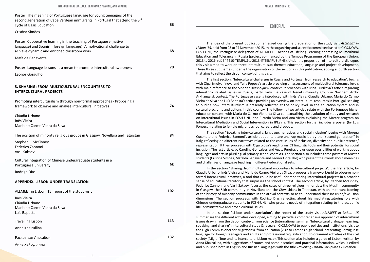The idea of the present publication emerged during the preparation of the study visit *ALLMEET in Lisbon '15*, held from 23 to 27 November 2015, by the organizing and scientific committee based at CICS.NOVA, FCSH-UNL, the Portuguese delegation of ALLMEET – Actions of Lifelong Learning addressing Multicultural Education and Tolerance in Russia (project co-financed by the Tempus Programme of the European Union, 2013 to 2016, ref. 544410-TEMPUS-1-2013-IT-TEMPUS-JPHS). Under the proposition of intercultural dialogue, this visit aimed to work on three intercultural sub-themes: education, language and project development. These three subthemes underlie the organization of the sections in this publication, adding a fourth section that aims to reflect the Lisbon context of this visit.

The first section, "Intercultural challenges in Russia and Portugal: from research to education", begins with Olga Smolyaninova and Yulia Popova's article providing an assessment of multicultural tolerance levels with main reference to the Siberian Krasnoyarsk context. It proceeds with Irina Tiurikova's article regarding inter-ethnic related issues in Russia, particularly the case of Nenets minority group in Northern Arctic Arkhangelsk context. The Portuguese case is introduced with Inês Vieira, Cláudia Urbano, Maria do Carmo Vieira da Silva and Luís Baptista's article providing an overview on intercultural resources in Portugal, seeking to outline how interculturalism is presently reflected at the policy level, in the education system and in cultural programs and actions in this country. The following two articles relate with the Portuguese higher education context, with Maria do Carmo Vieira da Silva contextualizing the evolution of study and research on intercultural issues in FCSH-UNL, and Ricardo Vieira and Ana Vieira explaining the Master program on Intercultural Mediation and Social Intervention in IPLeiria. This section further includes a poster (by Luís Fonseca) relating to female migrant school careers and dropout.

The section "Speaking inter-culturally: language, narratives and social inclusion" begins with Morena Cuconato and Federico Zannoni's article about literature and rap music led by the "second generation" in Italy, reflecting on different narratives related to the core issues of inclusion, diversity and public presence/ representation. It then proceeds with Olga Lvova's reading on ICT linguistic tools and their potential for social inclusion. The last article, by Carolina Gonçalves and Ágata Pereira, draws upon possibilities of working about languages and arts in plurilingual primary school contexts. The section also includes three posters of Master students (Cristina Simões, Mafalda Benavente and Leonor Gorgulho) who present their work about meanings and challenges of language teaching in different educational sets.

In the section "Sharing: from multicultural encounters to intercultural projects", the first article, by Cláudia Urbano, Inês Vieira and Maria do Carmo Vieira da Silva, proposes a framework/grid to observe nonformal intercultural initiatives, a tool that could be useful for monitoring intercultural projects in a broader sense of educational territory that surpasses the school context. The second article, by Stephen McKinney, Federico Zannoni and Vasil Sakaev, focuses the cases of three religious minorities: the Muslim community in Glasgow, the Sikh community in Novellara and the Chryashians in Tatarstan, with an important framing of the history of minority communities in the arrival contexts so as to understand their inclusion/exclusion dimensions. The section proceeds with Rodrigo Dias reflecting about his mediating/tutoring role with Chinese undergraduate students in FCSH-UNL, who present needs of integration relating to the academic life, administrative and broad cultural issues.

In the section "Lisbon under translation", the report of the study visit *ALLMEET in Lisbon '15* summarises the different activities developed, aiming to provide a comprehensive approach of intercultural issues drawn from the Lisbon context: from science (international seminar "Intercultural dialogue: learning, speaking, and sharing"; intercultural study & research CICS.NOVA) to public policies and institutions (visit to the High Commissioner for Migrations), from education (visit to Camões high school, presenting Portuguese language for foreign teenagers and adults and professional requalification) to organized activities of the civil society (MigranTour and its intercultural Lisbon map). This section also includes a guide of Lisbon, written by Anna Khairullina, with suggestions of routes and some historical and practical information, which is edited and published both in English and Russian languages with the title *Travelling Lisbon*/Раскрывая Лиссабон.

Poster: The meaning of Portuguese language for young teenagers of the second generation of Cape Verdean immigrants in Portugal that attend the 3<sup>rd</sup> cycle of Basic Education

#### Cristina Simões

Poster: Cooperative learning in the teaching of Portuguese (native language) and Spanish (foreign language): A motivational challenge to achieve dynamic and enriched classroom work

Mafalda Benavente

Poster: Language lessons as a mean to promote intercultural awareness Leonor Gorgulho

### **3. Sharing: from multicultural encounters to intercultural projects**

| Promoting interculturalism through non-formal approaches - Proposing a<br>framework to observe and analyse intercultural initiatives | 74  |
|--------------------------------------------------------------------------------------------------------------------------------------|-----|
| Cláudia Urbano<br>Inês Vieira<br>Maria do Carmo Vieira da Silva                                                                      |     |
| The position of minority religious groups in Glasgow, Novellara and Tatarstan                                                        | 84  |
| Stephen J. McKinney<br>Federico Zannoni<br>Vasil Sakaev                                                                              |     |
| Cultural integration of Chinese undergraduate students in a<br>Portuguese university                                                 | 95  |
| Rodrigo Dias                                                                                                                         |     |
| <b>APPENDIX. LISBON UNDER TRANSLATION</b>                                                                                            |     |
| ALLMEET in Lisbon '15: report of the study visit                                                                                     | 102 |
| Inês Vieira<br>Cláudia Urbano<br>Maria do Carmo Vieira da Silva<br>Luís Baptista                                                     |     |
| <b>Travelling Lisbon</b>                                                                                                             | 113 |
| Anna Khairullina                                                                                                                     |     |
| Раскрывая Лиссабон                                                                                                                   | 132 |
| Анна Хайруллина                                                                                                                      |     |

**66**

**68**

**70**

**EDITORIAL**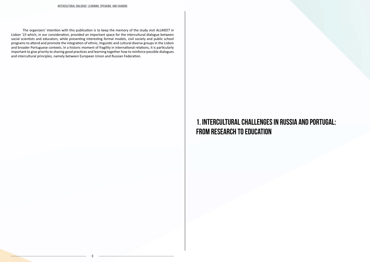INTERCULTURAL DIALOGUE: LEARNING, SPEAKING, AND SHARING

8

 The organizers' intention with this publication is to keep the memory of the study visit *ALLMEET in Lisbon '15* which, in our consideration, provided an important space for the intercultural dialogue between social scientists and educators, while presenting interesting formal models, civil society and public school programs to attend and promote the integration of ethnic, linguistic and cultural diverse groups in the Lisbon and broader Portuguese contexts. In a historic moment of fragility in international relations, it is particularly important to give priority to sharing good practices and learning together how to reinforce possible dialogues and intercultural principles, namely between European Union and Russian Federation.

## 1. Intercultural challenges in Russia and Portugal: from research to education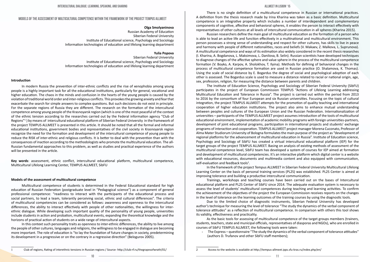### Models of the assessment of multicultural competence within the framework of the project TEMPUS ALLMEET

#### **Olga Smolyaninova**

Russian Academy of Education Siberian Federal University Institute of Educational science, Psychology and Sociology Information technologies of education and lifelong learning department

#### **Yulia Popova**

Siberian Federal University Institute of Educational science, Psychology and Sociology Information technologies of education and lifelong learning department

#### **Introduction**

In modern Russia the prevention of inter-ethnic conflicts and the rise of xenophobia among young people is a highly important task for all the educational institutions, particularly for general, vocational and higher education. The chaos in the minds and confusion in the hearts of the young people is caused by the violation of traditional world order and inter-religious conflicts. This provokes the growing anxiety and fear that exacerbate the search for simple answers to complex questions. But such decisions do not exist in principle. For the separate regions of Russia they are different. The research on the formation of the intercultural competence among young people of the Krasnoyarsk region (which is one of the most peaceful of the context of the ethnic tension according to the researches carried out by the Federal information agency "Club of Regions"1) by means of intercultural educational platform of Siberian Federal University in the framework of the project TEMPUS ALLMEET is presented in this article. It should be noted that all the formal and informal educational institutions, government bodies and representatives of the civil society in Krasnoyarsk region recognize the need for the formation and development of the intercultural competence of young people to reduce the RISK of inter-ethnic and religious conflicts. It is better to deal with the prevention than with the consequences of inaction according to the methodologists who promote the multicultural education. The all-Russian fundamental approaches to this problem, as well as studies and practical experience of the authors will be presented in the article.

**Key words**: assessment, ethnic conflict, intercultural educational platform, multicultural competence, Multicultural Lifelong Learning Center, TEMPUS ALLMEET, SibFU

#### **Models of the assessment of multicultural competence**

The Institute of Education Science, Psychology and Sociology of Siberian Federal University (SibFU) participates in the project of European Commission TEMPUS "Actions of Lifelong Learning addressing Multicultural Education and Tolerance in Russia". The project is carried out within the period from 2013 to 2016 by the consortium of four European and six Russian universities. Focusing on the topic of cultural integration, the project TEMPUS ALLMEET attempts for the promotion of quality teaching and international cooperation of higher education institutions. The project also aims to enhance mutual understanding between peoples and cultures of the European Union and the Russian Federation. Internationalization of universities – participants of the TEMPUS ALLMEET project assumes introduction of the tools of multicultural educational environment, implementation of academic mobility programs with foreign universities-partners, development of joint educational programs, participation in international projects and students' exchange programs of interaction and cooperation. TEMPUS ALLMEET project manager Morena Cuconato, Professor of Alma Mater Studiorum University of Bologna formulates the main purpose of the project as "development of regional platforms for the advancement of multicultural education in Russia". Institute of Education science, Psychology and Sociology of SibFU has created a virtual intercultural educational platform (IEP) for the target groups of the project TEMPUS ALLMEET. Basing on analysis of existing methods of assessment of the multicultural competence level, SibFU team has developed a system of courses for IEP aimed at formation and development of multicultural competencies. It's an interactive platform which digital center is a website with educational resources, documents and multimedia content and also equipped with communication, self-evaluation and feedback tools<sup>2</sup>.

Multicultural competence of students is determined in the Federal Educational standard for high education of Russian Federation (postgraduate level in "Pedagogical science") as a component of general professional competence: "readiness to interact with the participants of the educational process and social partners, to lead a team, tolerantly perceiving social, ethnic and cultural differences". The criteria of multicultural competencies can be considered as follows: awareness and openness to the intercultural differences, the ability to interact effectively with people of other nationalities, the willingness for interethnic dialogue. While developing such important quality of the personality of young people, universities include students in action and probation, multicultural events, expanding the theoretical knowledge and the horizons of practical action of students on a wide range of intercultural aspects.

In this context such personality traits as openness to inter-ethnic differences, the ability to live among the people of other cultures, languages and religions, the willingness to be engaged in dialogue are becoming more important. The role of education is "to lay the foundation of future changes in society, predetermining its development in a progressive or on the contrary in a regressive direction" (Belogurov 2005).

There is no single definition of a multicultural competence in Russian or international practices. A definition from the thesis research made by Irina Kharina was taken as a basic definition. Multicultural competence is an integrative property which includes a number of interdependent and complementary components of cognitive, affective and behavioral spheres, it enables the person to interact effectively with representatives of other cultures at all levels of intercultural communication in all spheres (Kharina 2015).

Russian researchers define the main goal of multicultural education as the formation of a person who is able to lead an active life and function effectively in a multinational and multicultural environment. This person possesses a strong sense of understanding and respect for other cultures, has skills to live in peace and harmony with people of different nationalities, races and beliefs (V. Makaev, Z. Malkova, L. Suprunova). A multicultural competence and ways of its estimation also widely considered in the recent thesis researches (I. Kharina, A. Bogdanova, L. Maksimova, L. Danilova, B. Selin). Russian scientists have developed techniques to diagnose changes of the affective sphere and value sphere in the process of the multicultural competence formation (V. Boyko, A. Karpov, A. Sholokhov, T. Ilyina). Methods for defining of behavioral changes in the process of multicultural competence formation are used in Russian practice (O. Shalamova, K. Thomas). Using the scale of social distance by E. Bogardus the degree of social and psychological adoption of each other is assessed. The Bogardus scale is used to measure a distance related to racial or national origin, age, sex, profession, religion, for measuring the distance between parents and children.

In the framework of the project Tempus ALLMEET in Siberian Federal University Multicultural Lifelong Learning Center on the basis of personal training services (PL2S) was established. PL2S Center is aimed at improving tolerance and building a productive intercultural communication.

Trainings, workshops and teaching courses have been carried out on the bases of Intercultural educational platform and PL2S Center of SibFU since 2014. The adequate evaluation system is necessary to assess the level of students' multicultural competences during teaching and learning activities. To confirm the achievement of the objectives of the project the European Commission receives reports on the changes in the level of tolerance on the learning outcomes of the training courses by using the diagnostic tools.

Due to the limited choice of diagnostic instruments, Siberian Federal University has developed author's technique for measuring the level of tolerance "The study the dynamics of the verbal component of tolerance attitudes" as a reflection of multicultural competence. In comparison with others this tool shows its validity, effectiveness and practicality.

As the basic tools for assessing of multicultural competence of the target groups members (trainers, students, teachers, state and municipal officials, representatives of diasporas and NGOs), who are enrolled in courses of SibFU TEMPUS ALLMEET, the following tools were taken:

- The Express – questionnaire "The study the dynamics of the verbal component of tolerance attitudes"

(authors D. Trufanov and other SibFU staff members);

<sup>1</sup> Club of regions, Rating of interethnic tensions in Russian regions / Source- http://club-rf.ru/thegrapesofwrath/01/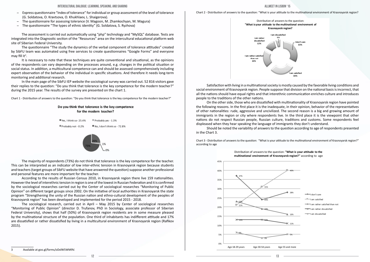- Express questionnaire "Index of tolerance" for individual or group assessment of the level of tolerance (G. Soldatova, O. Kravtsova, O. Khukhlaev, L. Shaigerova).
- The questionnaire for assessing tolerance (V. Magoon, M. Zhamkochyan, M. Magura)
- The questionnaire "The types of ethnic identity" (G. Soldatova, S. Ryzhova)

The questionnaire "The study the dynamics of the verbal component of tolerance attitudes" created by SibFU team was automated using free services to create questionnaires "Google Forms" and everyone may fill it<sup>3</sup>.

The assessment is carried out automatically using "php" technology and "MySQL" database. Tests are integrated into the Diagnostic section of the "Resources" area on the intercultural educational platform web site of Siberian Federal University.

It is necessary to note that these techniques are quite conventional and situational, as the opinions of the respondents can vary depending on the processes around, e.g. changes in the political situation or social status. In addition, a multicultural competence can and should be assessed comprehensively including expert observation of the behavior of the individual in specific situations. And therefore it needs long-term monitoring and additional research.

In the main page of the SibFU IEP website the sociological survey was carried out. 52 816 visitors gave their replies to the question: "Do you think that tolerance is the key competence for the modern teacher?" during the 2015 year. The results of the survey are presented on the chart 1.

Chart 1 - Distribution of answers to the question: "Do you think that tolerance is the key competence for the modern teacher?"

#### Do you think that tolerance is the key competence for the modern teacher?



The majority of respondents (73%) do not think that tolerance is the key competence for the teacher. This can be interpreted as an indicator of low inter-ethnic tension in Krasnoyarsk region because students and teachers (target groups of SibFU website that have answered the question) suppose another professional and personal features are more important for the teacher.

According to the results of Russian Census 2010, in Krasnoyarsk region there live 159 nationalities. However the level of interethnic tension in region is one of the lowest in Russian Federation and it is confirmed by the sociological researches carried out by the Center of sociological researches "Monitoring of Public Opinion" on different target groups since 2002. On the initiative of local authorities in Krasnoyarsk the state program "Strengthening the unity of the Russian nation and ethno-cultural development of the peoples of Krasnoyarsk region" has been developed and implemented for the period 2015 - 2018.

The sociological research, carried out in April – May 2015 by Center of sociological researches "Monitoring of Public Opinion" (director D. Trufanov, PhD in Sociology, associate professor of Siberian Federal University), shows that half (50%) of Krasnoyarsk region residents are in some measure pleased by the multinational structure of the population. One third of inhabitants has indifferent attitude and 17% are dissatisfied or rather dissatisfied by living in a multicultural environment of Krasnoyarsk region (Rafikov 2015).



3 Available at goo.gl/forms/oDxlW5WM9V.

Chart 2 - Distribution of answers to the question: "What is your attitude to the multinational environment of Krasnoyarsk region?

Satisfaction with living in a multinational society is mostly caused by the favorable living conditions and social environment of Krasnoyarsk region. People suppose that division on the national basis is incorrect, that all the nations should have equal rights and that interethnic communication enriches culture and introduces people to the traditions of the other nations.

On the other side, those who are dissatisfied with multinationality of Krasnoyarsk region have pointed the following reasons. In the first place it is the inadequate, in their opinion, behavior of the representatives of other nationalities: rude, aggressive and uncivilized. The second reason is a big and growing amount of immigrants in the region or city where respondents live. In the third place it is the viewpoint that other nations do not respect Russian people, Russian culture, traditions and customs. Some respondents feel displeased when they hear speaking the language of immigrants they don't understand.

Should be noted the variability of answers to the question according to age of respondents presented in the Chart 3.

Chart 3 - Distribution of answers to the question: "What is your attitude to the multinational environment of Krasnoyarsk region?" according to age

## Distribution of answers to the question: "What is your attitude to the

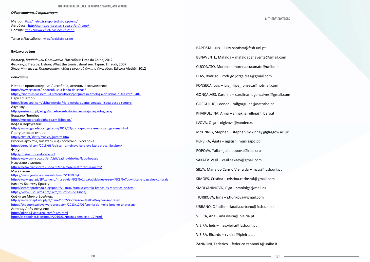#### INTERCULTURAL DIALOGUE: LEARNING, SPEAKING, AND SHARING

#### *Общественный транспорт*

Метро: http://metro.transporteslisboa.pt/eng/ Автобусы: http://carris.transporteslisboa.pt/en/home/ Поезда: https://www.cp.pt/passageiros/en/

Такси в Лиссабоне: http://taxislisboa.com

История происхождения Лиссабона, легенды и этимология: http://www.egeac.pt/lisboa/ofiusa-a-lenda-de-lisboa/ https://ciberduvidas.iscte-iul.pt/consultorio/perguntas/etimologia-de-lisboa-outra-vez/19407 Парк Eduardo VII: http://lisboacool.com/visitar/estufa-fria-e-estufa-quente-coracao-lisboa-desde-sempre Азулежуш: http://ensina.rtp.pt/artigo/uma-breve-historia-da-azulejaria-portuguesa/ Бордало Пинейру : http://museubordalopinheiro.cm-lisboa.pt/ Кофе в Португалии: http://www.oguiadeportugal.com/2012/02/como-pedir-cafe-em-portugal-uma.html Португальская гитара: http://nfist.pt/sf/sf3/musica/guitarra.htm Русские артисты, писатели и философы о Лиссабоне: http://pereulki.com/2015/06/odissej-i-zmeinaya-koroleva-kto-osnoval-lissabon/ Фаду: http://roteiro.museudofado.pt/ http://www.cm-lisboa.pt/en/visit/eating-drinking/fado-houses Искусство в метро: http://metro.transporteslisboa.pt/eng/more-metro/art-in-metro/ Музей воды: https://www.youtube.com/watch?v=E51TtIBkByk http://www.epal.pt/EPAL/menu/museu-da-%C3%A1gua/atividades-e-servi%C3%A7os/visitas-e-passeios-culturais Камилу Каштелу Бранку: http://leitordeprofissao.blogspot.it/2010/07/camilo-castelo-branco-os-misterios-de.html https://www.luso-livros.net/Livro/misterios-de-lisboa/ София де Мелло Брейнер: http://www.cinept.ubi.pt/pt/filme/1552/Sophia+de+Mello+Breyner+Andresen https://thebookswelove.wordpress.com/2013/12/01/sophia-de-mello-breyner-andresen/ Антониу Лобу Антунеш: http://litkritik.livejournal.com/4424.html http://caisdoolhar.blogspot.it/2016/01/postais-sem-selo\_12.html

#### **Библиография**

Вольтер, *Кандид или Оптимизм.* Лиссабон: Tinta da China, 2012 Фернандо Пессоа, Lisbon, What the tourist shoul see. Турин: Einaudi, 2007 Жозе Мильязеш, *Португалия: «Здесь русский дух...».* Лиссабон: Editora Alethêi, 2012

#### *Веб-сайты*

BAPTISTA, Luís – luisv.baptista@fcsh.unl.pt BENAVENTE, Mafalda – mafaldabenavente@gmail.com CUCONATO, Morena – morena.cuconato@unibo.it DIAS, Rodrigo – rodrigo.jorge.dias@gmail.com FONSECA, Luís – luis filipe fonseca@hotmail.com GONÇALVES, Carolina – carolinamdgoncalves@gmail.com GORGULHO, Leonor – mlfgorgulho@netcabo.pt KHAIRULLINA, Anna – annakhairullina@libero.it LVOVA, Olga – olglvova@yandex.ru McKINNEY, Stephen – stephen.mckinney@glasgow.ac.uk PEREIRA, Ágata – agatish\_mu@sapo.pt POPOVA, Yulia – julia.popova@inbox.ru SAKAEV, Vasil – vasil.sakaev@gmail.com SILVA, Maria do Carmo Vieira da – mcvs@fcsh.unl.pt SIMÕES, Cristina – cristina.carlosraf@gmail.com SMOLYANINOVA, Olga – smololga@mail.ru TIURIKOVA, Irina – i.tiurikova@gmail.com URBANO, Cláudia – claudia.urbano@fcsh.unl.pt VIEIRA, Ana – ana.vieira@ipleiria.pt VIEIRA, Inês – ines.vieira@fcsh.unl.pt VIEIRA, Ricardo – rvieira@ipleiria.pt

ZANNONI, Federico – federico.zannoni3@unibo.it